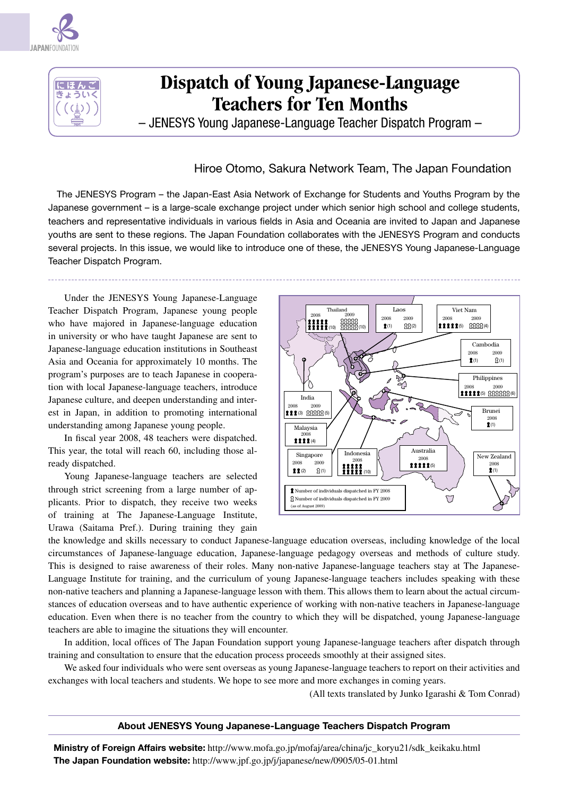



# **Dispatch of Young Japanese-Language Teachers for Ten Months**

– JENESYS Young Japanese-Language Teacher Dispatch Program –

## Hiroe Otomo, Sakura Network Team, The Japan Foundation

The JENESYS Program – the Japan-East Asia Network of Exchange for Students and Youths Program by the Japanese government – is a large-scale exchange project under which senior high school and college students, teachers and representative individuals in various fields in Asia and Oceania are invited to Japan and Japanese youths are sent to these regions. The Japan Foundation collaborates with the JENESYS Program and conducts several projects. In this issue, we would like to introduce one of these, the JENESYS Young Japanese-Language Teacher Dispatch Program.

Under the JENESYS Young Japanese-Language Teacher Dispatch Program, Japanese young people who have majored in Japanese-language education in university or who have taught Japanese are sent to Japanese-language education institutions in Southeast Asia and Oceania for approximately 10 months. The program's purposes are to teach Japanese in cooperation with local Japanese-language teachers, introduce Japanese culture, and deepen understanding and interest in Japan, in addition to promoting international understanding among Japanese young people.

In fiscal year 2008, 48 teachers were dispatched. This year, the total will reach 60, including those already dispatched.

Young Japanese-language teachers are selected through strict screening from a large number of applicants. Prior to dispatch, they receive two weeks of training at The Japanese-Language Institute, Urawa (Saitama Pref.). During training they gain



the knowledge and skills necessary to conduct Japanese-language education overseas, including knowledge of the local circumstances of Japanese-language education, Japanese-language pedagogy overseas and methods of culture study. This is designed to raise awareness of their roles. Many non-native Japanese-language teachers stay at The Japanese-Language Institute for training, and the curriculum of young Japanese-language teachers includes speaking with these non-native teachers and planning a Japanese-language lesson with them. This allows them to learn about the actual circumstances of education overseas and to have authentic experience of working with non-native teachers in Japanese-language education. Even when there is no teacher from the country to which they will be dispatched, young Japanese-language teachers are able to imagine the situations they will encounter.

In addition, local offices of The Japan Foundation support young Japanese-language teachers after dispatch through training and consultation to ensure that the education process proceeds smoothly at their assigned sites.

We asked four individuals who were sent overseas as young Japanese-language teachers to report on their activities and exchanges with local teachers and students. We hope to see more and more exchanges in coming years.

(All texts translated by Junko Igarashi & Tom Conrad)

#### **About JENESYS Young Japanese-Language Teachers Dispatch Program**

**Ministry of Foreign Affairs website:** http://www.mofa.go.jp/mofaj/area/china/jc\_koryu21/sdk\_keikaku.html **The Japan Foundation website:** http://www.jpf.go.jp/j/japanese/new/0905/05-01.html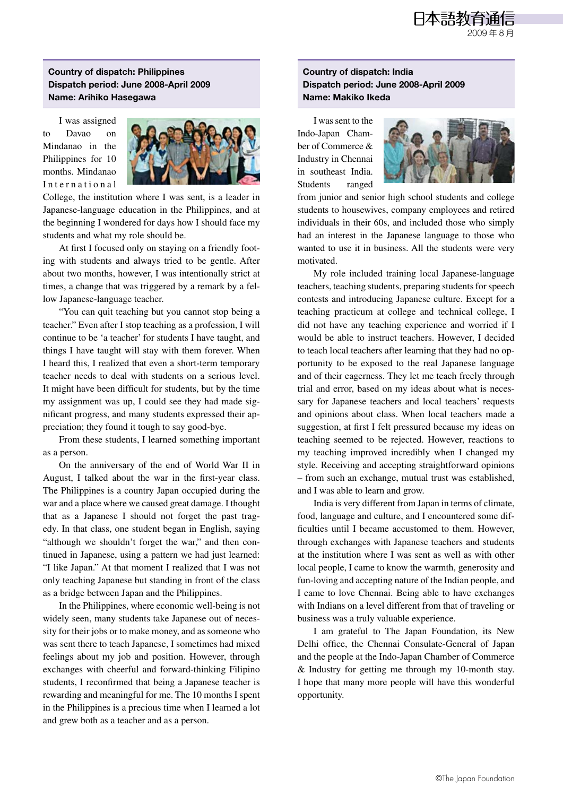

**Country of dispatch: Philippines Dispatch period: June 2008-April 2009 Name: Arihiko Hasegawa**

I was assigned to Davao on Mindanao in the Philippines for 10 months. Mindanao International



College, the institution where I was sent, is a leader in Japanese-language education in the Philippines, and at the beginning I wondered for days how I should face my students and what my role should be.

At first I focused only on staying on a friendly footing with students and always tried to be gentle. After about two months, however, I was intentionally strict at times, a change that was triggered by a remark by a fellow Japanese-language teacher.

"You can quit teaching but you cannot stop being a teacher." Even after I stop teaching as a profession, I will continue to be 'a teacher' for students I have taught, and things I have taught will stay with them forever. When I heard this, I realized that even a short-term temporary teacher needs to deal with students on a serious level. It might have been difficult for students, but by the time my assignment was up, I could see they had made significant progress, and many students expressed their appreciation; they found it tough to say good-bye.

From these students, I learned something important as a person.

On the anniversary of the end of World War II in August, I talked about the war in the first-year class. The Philippines is a country Japan occupied during the war and a place where we caused great damage. I thought that as a Japanese I should not forget the past tragedy. In that class, one student began in English, saying "although we shouldn't forget the war," and then continued in Japanese, using a pattern we had just learned: "I like Japan." At that moment I realized that I was not only teaching Japanese but standing in front of the class as a bridge between Japan and the Philippines.

In the Philippines, where economic well-being is not widely seen, many students take Japanese out of necessity for their jobs or to make money, and as someone who was sent there to teach Japanese, I sometimes had mixed feelings about my job and position. However, through exchanges with cheerful and forward-thinking Filipino students, I reconfirmed that being a Japanese teacher is rewarding and meaningful for me. The 10 months I spent in the Philippines is a precious time when I learned a lot and grew both as a teacher and as a person.

### **Country of dispatch: India Dispatch period: June 2008-April 2009 Name: Makiko Ikeda**

I was sent to the Indo-Japan Chamber of Commerce & Industry in Chennai in southeast India. Students ranged



from junior and senior high school students and college students to housewives, company employees and retired individuals in their 60s, and included those who simply had an interest in the Japanese language to those who wanted to use it in business. All the students were very motivated.

My role included training local Japanese-language teachers, teaching students, preparing students for speech contests and introducing Japanese culture. Except for a teaching practicum at college and technical college, I did not have any teaching experience and worried if I would be able to instruct teachers. However, I decided to teach local teachers after learning that they had no opportunity to be exposed to the real Japanese language and of their eagerness. They let me teach freely through trial and error, based on my ideas about what is necessary for Japanese teachers and local teachers' requests and opinions about class. When local teachers made a suggestion, at first I felt pressured because my ideas on teaching seemed to be rejected. However, reactions to my teaching improved incredibly when I changed my style. Receiving and accepting straightforward opinions – from such an exchange, mutual trust was established, and I was able to learn and grow.

India is very different from Japan in terms of climate, food, language and culture, and I encountered some difficulties until I became accustomed to them. However, through exchanges with Japanese teachers and students at the institution where I was sent as well as with other local people, I came to know the warmth, generosity and fun-loving and accepting nature of the Indian people, and I came to love Chennai. Being able to have exchanges with Indians on a level different from that of traveling or business was a truly valuable experience.

I am grateful to The Japan Foundation, its New Delhi office, the Chennai Consulate-General of Japan and the people at the Indo-Japan Chamber of Commerce & Industry for getting me through my 10-month stay. I hope that many more people will have this wonderful opportunity.